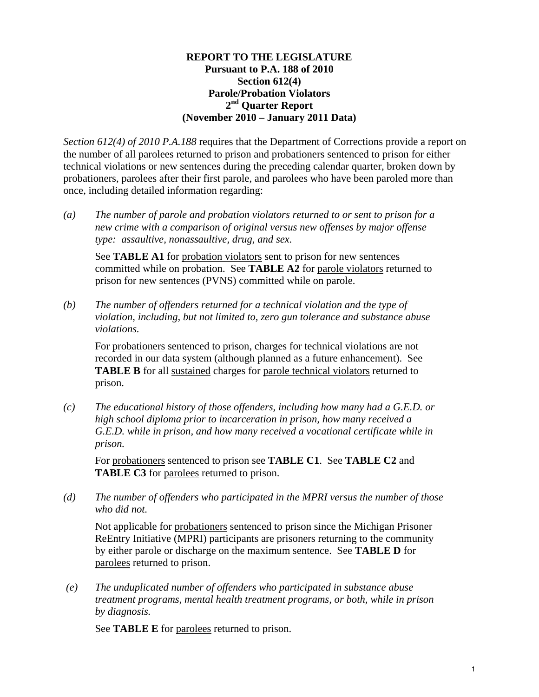#### **REPORT TO THE LEGISLATURE Pursuant to P.A. 188 of 2010 Section 612(4) Parole/Probation Violators 2nd Quarter Report (November 2010 – January 2011 Data)**

*Section 612(4) of 2010 P.A.188* requires that the Department of Corrections provide a report on the number of all parolees returned to prison and probationers sentenced to prison for either technical violations or new sentences during the preceding calendar quarter, broken down by probationers, parolees after their first parole, and parolees who have been paroled more than once, including detailed information regarding:

*(a) The number of parole and probation violators returned to or sent to prison for a new crime with a comparison of original versus new offenses by major offense type: assaultive, nonassaultive, drug, and sex.* 

See **TABLE A1** for probation violators sent to prison for new sentences committed while on probation. See **TABLE A2** for parole violators returned to prison for new sentences (PVNS) committed while on parole.

*(b) The number of offenders returned for a technical violation and the type of violation, including, but not limited to, zero gun tolerance and substance abuse violations.* 

For probationers sentenced to prison, charges for technical violations are not recorded in our data system (although planned as a future enhancement). See **TABLE B** for all sustained charges for parole technical violators returned to prison.

*(c) The educational history of those offenders, including how many had a G.E.D. or high school diploma prior to incarceration in prison, how many received a G.E.D. while in prison, and how many received a vocational certificate while in prison.* 

For probationers sentenced to prison see **TABLE C1**. See **TABLE C2** and **TABLE C3** for parolees returned to prison.

*(d) The number of offenders who participated in the MPRI versus the number of those who did not.* 

Not applicable for probationers sentenced to prison since the Michigan Prisoner ReEntry Initiative (MPRI) participants are prisoners returning to the community by either parole or discharge on the maximum sentence. See **TABLE D** for parolees returned to prison.

 *(e) The unduplicated number of offenders who participated in substance abuse treatment programs, mental health treatment programs, or both, while in prison by diagnosis.* 

See **TABLE E** for parolees returned to prison.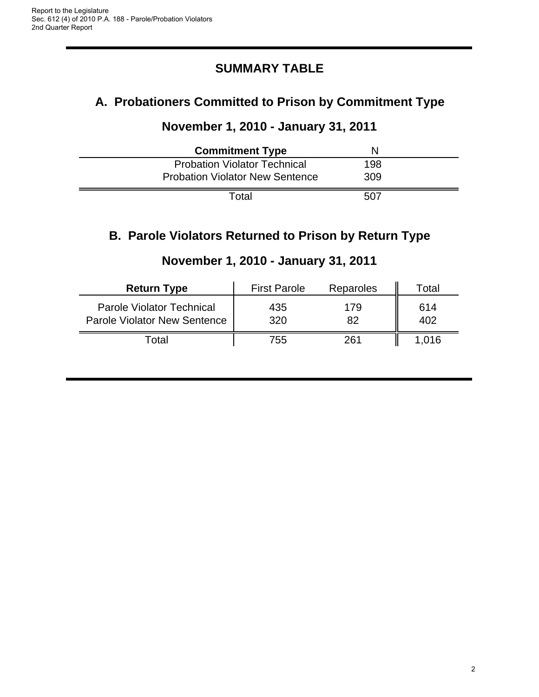# **SUMMARY TABLE**

# **A. Probationers Committed to Prison by Commitment Type**

#### **November 1, 2010 - January 31, 2011**

| <b>Commitment Type</b>                 | N   |  |
|----------------------------------------|-----|--|
| <b>Probation Violator Technical</b>    | 198 |  |
| <b>Probation Violator New Sentence</b> | 309 |  |
| Total                                  | 507 |  |

# **B. Parole Violators Returned to Prison by Return Type**

| <b>Return Type</b>                                                      | <b>First Parole</b> | Reparoles | Total      |
|-------------------------------------------------------------------------|---------------------|-----------|------------|
| <b>Parole Violator Technical</b><br><b>Parole Violator New Sentence</b> | 435<br>320          | 179<br>82 | 614<br>402 |
| Total                                                                   | 755                 | 261       | 1.016      |

# **November 1, 2010 - January 31, 2011**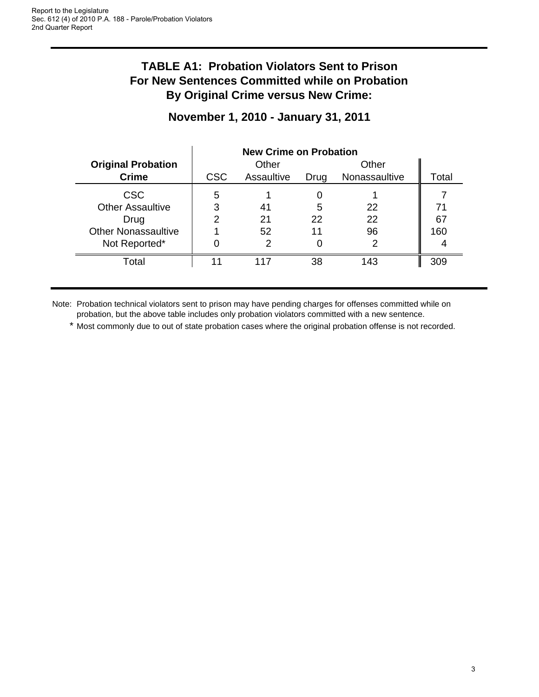# **TABLE A1: Probation Violators Sent to Prison For New Sentences Committed while on Probation By Original Crime versus New Crime:**

#### **November 1, 2010 - January 31, 2011**

|                            | <b>New Crime on Probation</b> |            |      |               |       |
|----------------------------|-------------------------------|------------|------|---------------|-------|
| <b>Original Probation</b>  |                               | Other      |      | Other         |       |
| <b>Crime</b>               | <b>CSC</b>                    | Assaultive | Drug | Nonassaultive | Total |
| <b>CSC</b>                 | 5                             |            |      |               |       |
| <b>Other Assaultive</b>    | 3                             | 41         | 5    | 22            | 71    |
| Drug                       | າ                             | 21         | 22   | 22            | 67    |
| <b>Other Nonassaultive</b> |                               | 52         | 11   | 96            | 160   |
| Not Reported*              |                               |            |      |               |       |
| Total                      |                               | 117        | 38   | 143           | 309   |

Note: Probation technical violators sent to prison may have pending charges for offenses committed while on probation, but the above table includes only probation violators committed with a new sentence.

\* Most commonly due to out of state probation cases where the original probation offense is not recorded.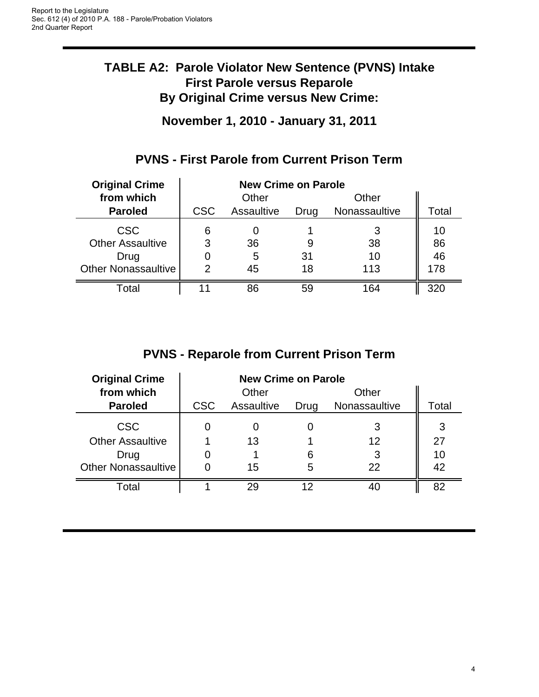# **TABLE A2: Parole Violator New Sentence (PVNS) Intake First Parole versus Reparole By Original Crime versus New Crime:**

**November 1, 2010 - January 31, 2011**

| <b>Original Crime</b>      | <b>New Crime on Parole</b> |            |      |               |       |
|----------------------------|----------------------------|------------|------|---------------|-------|
| from which                 |                            | Other      |      | Other         |       |
| <b>Paroled</b>             | <b>CSC</b>                 | Assaultive | Drug | Nonassaultive | Total |
| <b>CSC</b>                 | 6                          |            |      |               | 10    |
| <b>Other Assaultive</b>    | 3                          | 36         |      | 38            | 86    |
| Drug                       |                            | 5          | 31   | 10            | 46    |
| <b>Other Nonassaultive</b> | 2                          | 45         | 18   | 113           | 178   |
| Total                      |                            | 86         | 59   | 164           |       |

# **PVNS - First Parole from Current Prison Term**

# **PVNS - Reparole from Current Prison Term**

| <b>Original Crime</b>      | <b>New Crime on Parole</b> |            |      |               |       |
|----------------------------|----------------------------|------------|------|---------------|-------|
| from which                 |                            | Other      |      | Other         |       |
| <b>Paroled</b>             | <b>CSC</b>                 | Assaultive | Drug | Nonassaultive | Total |
| <b>CSC</b>                 |                            |            |      | 3             | 3     |
| <b>Other Assaultive</b>    |                            | 13         |      | 12            | 27    |
| Drug                       |                            |            |      | 3             | 10    |
| <b>Other Nonassaultive</b> |                            | 15         | 5    | 22            | 42    |
| Total                      |                            | 29         | ィク   |               | 82    |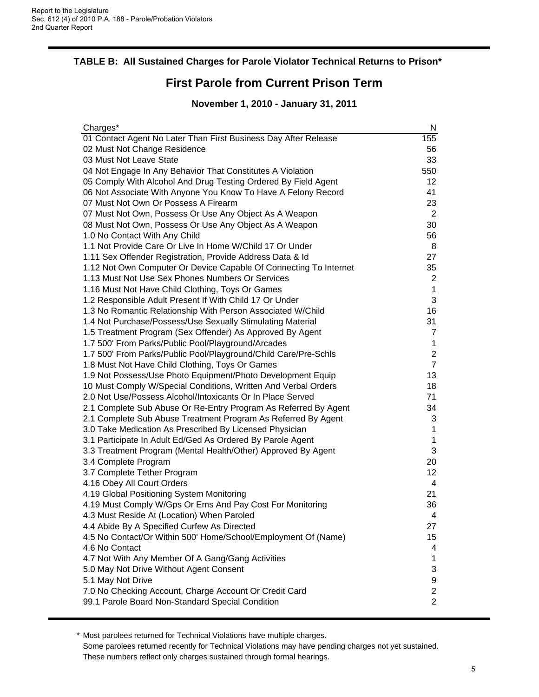#### **TABLE B: All Sustained Charges for Parole Violator Technical Returns to Prison\***

#### **First Parole from Current Prison Term**

#### **November 1, 2010 - January 31, 2011**

| Charges*                                                          | N              |
|-------------------------------------------------------------------|----------------|
| 01 Contact Agent No Later Than First Business Day After Release   | 155            |
| 02 Must Not Change Residence                                      | 56             |
| 03 Must Not Leave State                                           | 33             |
| 04 Not Engage In Any Behavior That Constitutes A Violation        | 550            |
| 05 Comply With Alcohol And Drug Testing Ordered By Field Agent    | 12             |
| 06 Not Associate With Anyone You Know To Have A Felony Record     | 41             |
| 07 Must Not Own Or Possess A Firearm                              | 23             |
| 07 Must Not Own, Possess Or Use Any Object As A Weapon            | 2              |
| 08 Must Not Own, Possess Or Use Any Object As A Weapon            | 30             |
| 1.0 No Contact With Any Child                                     | 56             |
| 1.1 Not Provide Care Or Live In Home W/Child 17 Or Under          | 8              |
| 1.11 Sex Offender Registration, Provide Address Data & Id         | 27             |
| 1.12 Not Own Computer Or Device Capable Of Connecting To Internet | 35             |
| 1.13 Must Not Use Sex Phones Numbers Or Services                  | 2              |
| 1.16 Must Not Have Child Clothing, Toys Or Games                  | 1              |
| 1.2 Responsible Adult Present If With Child 17 Or Under           | 3              |
| 1.3 No Romantic Relationship With Person Associated W/Child       | 16             |
| 1.4 Not Purchase/Possess/Use Sexually Stimulating Material        | 31             |
| 1.5 Treatment Program (Sex Offender) As Approved By Agent         | 7              |
| 1.7 500' From Parks/Public Pool/Playground/Arcades                | 1              |
| 1.7 500' From Parks/Public Pool/Playground/Child Care/Pre-Schls   | $\overline{c}$ |
| 1.8 Must Not Have Child Clothing, Toys Or Games                   | 7              |
| 1.9 Not Possess/Use Photo Equipment/Photo Development Equip       | 13             |
| 10 Must Comply W/Special Conditions, Written And Verbal Orders    | 18             |
| 2.0 Not Use/Possess Alcohol/Intoxicants Or In Place Served        | 71             |
| 2.1 Complete Sub Abuse Or Re-Entry Program As Referred By Agent   | 34             |
| 2.1 Complete Sub Abuse Treatment Program As Referred By Agent     | 3              |
| 3.0 Take Medication As Prescribed By Licensed Physician           | 1              |
| 3.1 Participate In Adult Ed/Ged As Ordered By Parole Agent        | 1              |
| 3.3 Treatment Program (Mental Health/Other) Approved By Agent     | 3              |
| 3.4 Complete Program                                              | 20             |
| 3.7 Complete Tether Program                                       | 12             |
| 4.16 Obey All Court Orders                                        | 4              |
| 4.19 Global Positioning System Monitoring                         | 21             |
| 4.19 Must Comply W/Gps Or Ems And Pay Cost For Monitoring         | 36             |
| 4.3 Must Reside At (Location) When Paroled                        | 4              |
| 4.4 Abide By A Specified Curfew As Directed                       | 27             |
| 4.5 No Contact/Or Within 500' Home/School/Employment Of (Name)    | 15             |
| 4.6 No Contact                                                    | 4              |
| 4.7 Not With Any Member Of A Gang/Gang Activities                 | 1              |
| 5.0 May Not Drive Without Agent Consent                           | 3              |
| 5.1 May Not Drive                                                 | 9              |
| 7.0 No Checking Account, Charge Account Or Credit Card            | 2              |
| 99.1 Parole Board Non-Standard Special Condition                  | $\overline{c}$ |

\* Most parolees returned for Technical Violations have multiple charges. Some parolees returned recently for Technical Violations may have pending charges not yet sustained. These numbers reflect only charges sustained through formal hearings.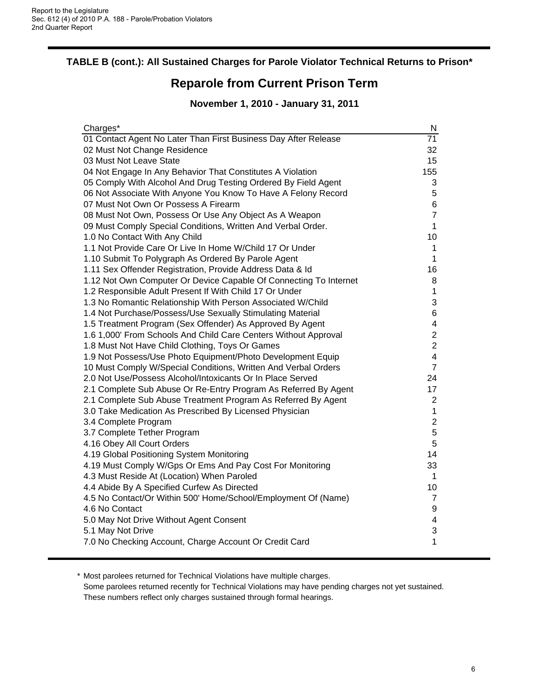#### **TABLE B (cont.): All Sustained Charges for Parole Violator Technical Returns to Prison\***

#### **Reparole from Current Prison Term**

#### **November 1, 2010 - January 31, 2011**

| Charges*                                                          | N                       |
|-------------------------------------------------------------------|-------------------------|
| 01 Contact Agent No Later Than First Business Day After Release   | $\overline{71}$         |
| 02 Must Not Change Residence                                      | 32                      |
| 03 Must Not Leave State                                           | 15                      |
| 04 Not Engage In Any Behavior That Constitutes A Violation        | 155                     |
| 05 Comply With Alcohol And Drug Testing Ordered By Field Agent    | 3                       |
| 06 Not Associate With Anyone You Know To Have A Felony Record     | 5                       |
| 07 Must Not Own Or Possess A Firearm                              | 6                       |
| 08 Must Not Own, Possess Or Use Any Object As A Weapon            | $\overline{7}$          |
| 09 Must Comply Special Conditions, Written And Verbal Order.      | $\mathbf{1}$            |
| 1.0 No Contact With Any Child                                     | 10                      |
| 1.1 Not Provide Care Or Live In Home W/Child 17 Or Under          | $\mathbf 1$             |
| 1.10 Submit To Polygraph As Ordered By Parole Agent               | 1                       |
| 1.11 Sex Offender Registration, Provide Address Data & Id         | 16                      |
| 1.12 Not Own Computer Or Device Capable Of Connecting To Internet | 8                       |
| 1.2 Responsible Adult Present If With Child 17 Or Under           | 1                       |
| 1.3 No Romantic Relationship With Person Associated W/Child       | 3                       |
| 1.4 Not Purchase/Possess/Use Sexually Stimulating Material        | 6                       |
| 1.5 Treatment Program (Sex Offender) As Approved By Agent         | $\overline{\mathbf{4}}$ |
| 1.6 1,000' From Schools And Child Care Centers Without Approval   | $\mathbf 2$             |
| 1.8 Must Not Have Child Clothing, Toys Or Games                   | $\overline{c}$          |
| 1.9 Not Possess/Use Photo Equipment/Photo Development Equip       | $\overline{\mathbf{4}}$ |
| 10 Must Comply W/Special Conditions, Written And Verbal Orders    | $\overline{7}$          |
| 2.0 Not Use/Possess Alcohol/Intoxicants Or In Place Served        | 24                      |
| 2.1 Complete Sub Abuse Or Re-Entry Program As Referred By Agent   | 17                      |
| 2.1 Complete Sub Abuse Treatment Program As Referred By Agent     | $\overline{2}$          |
| 3.0 Take Medication As Prescribed By Licensed Physician           | $\mathbf{1}$            |
| 3.4 Complete Program                                              | $\overline{2}$          |
| 3.7 Complete Tether Program                                       | 5                       |
| 4.16 Obey All Court Orders                                        | 5                       |
| 4.19 Global Positioning System Monitoring                         | 14                      |
| 4.19 Must Comply W/Gps Or Ems And Pay Cost For Monitoring         | 33                      |
| 4.3 Must Reside At (Location) When Paroled                        | $\mathbf{1}$            |
| 4.4 Abide By A Specified Curfew As Directed                       | 10                      |
| 4.5 No Contact/Or Within 500' Home/School/Employment Of (Name)    | $\overline{7}$          |
| 4.6 No Contact                                                    | 9                       |
| 5.0 May Not Drive Without Agent Consent                           | $\overline{\mathbf{4}}$ |
| 5.1 May Not Drive                                                 | 3                       |
| 7.0 No Checking Account, Charge Account Or Credit Card            | 1                       |
|                                                                   |                         |

\* Most parolees returned for Technical Violations have multiple charges.

Some parolees returned recently for Technical Violations may have pending charges not yet sustained. These numbers reflect only charges sustained through formal hearings.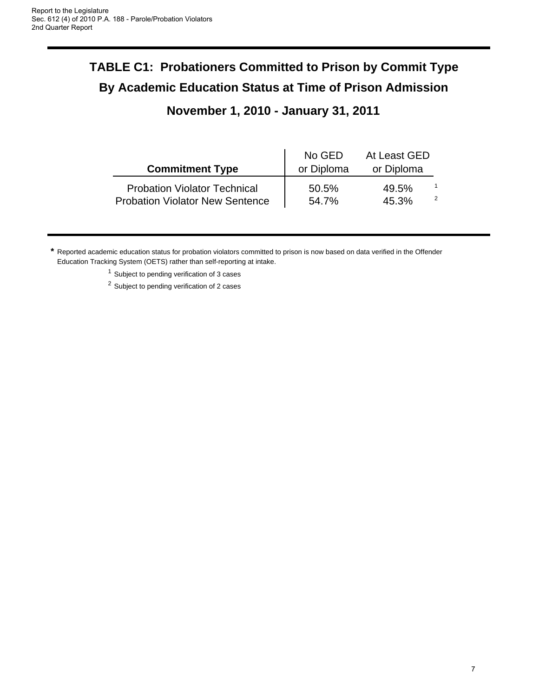# **TABLE C1: Probationers Committed to Prison by Commit Type By Academic Education Status at Time of Prison Admission November 1, 2010 - January 31, 2011**

|                                                                               | No GED         | At Least GED   |   |
|-------------------------------------------------------------------------------|----------------|----------------|---|
| <b>Commitment Type</b>                                                        | or Diploma     | or Diploma     |   |
| <b>Probation Violator Technical</b><br><b>Probation Violator New Sentence</b> | 50.5%<br>54.7% | 49.5%<br>45.3% | 2 |

**\*** Reported academic education status for probation violators committed to prison is now based on data verified in the Offender Education Tracking System (OETS) rather than self-reporting at intake.

 $1$  Subject to pending verification of 3 cases

<sup>2</sup> Subject to pending verification of 2 cases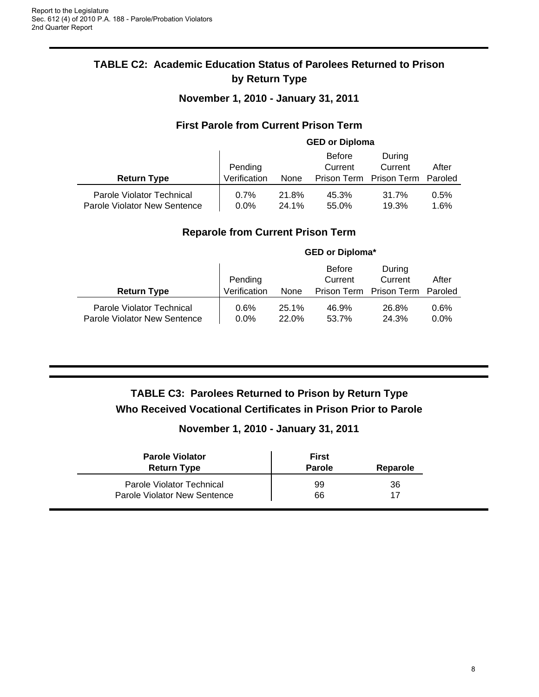#### **TABLE C2: Academic Education Status of Parolees Returned to Prison by Return Type**

**November 1, 2010 - January 31, 2011**

#### **First Parole from Current Prison Term**

|                                                           | <b>GED or Diploma</b>   |                |                                         |                                  |                  |
|-----------------------------------------------------------|-------------------------|----------------|-----------------------------------------|----------------------------------|------------------|
| <b>Return Type</b>                                        | Pending<br>Verification | None           | <b>Before</b><br>Current<br>Prison Term | During<br>Current<br>Prison Term | After<br>Paroled |
| Parole Violator Technical<br>Parole Violator New Sentence | 0.7%<br>$0.0\%$         | 21.8%<br>24.1% | 45.3%<br>55.0%                          | 31.7%<br>19.3%                   | 0.5%<br>1.6%     |

#### **Reparole from Current Prison Term**

|                                                           | <b>GED or Diploma*</b>  |                |                                         |                                  |                  |
|-----------------------------------------------------------|-------------------------|----------------|-----------------------------------------|----------------------------------|------------------|
| <b>Return Type</b>                                        | Pending<br>Verification | None           | <b>Before</b><br>Current<br>Prison Term | During<br>Current<br>Prison Term | After<br>Paroled |
| Parole Violator Technical<br>Parole Violator New Sentence | 0.6%<br>$0.0\%$         | 25.1%<br>22.0% | 46.9%<br>53.7%                          | 26.8%<br>24.3%                   | 0.6%<br>$0.0\%$  |

# **TABLE C3: Parolees Returned to Prison by Return Type Who Received Vocational Certificates in Prison Prior to Parole**

#### **November 1, 2010 - January 31, 2011**

| <b>Parole Violator</b><br><b>Return Type</b> | <b>First</b><br><b>Parole</b> | Reparole |
|----------------------------------------------|-------------------------------|----------|
| Parole Violator Technical                    | 99                            | 36       |
| Parole Violator New Sentence                 | 66                            | 17       |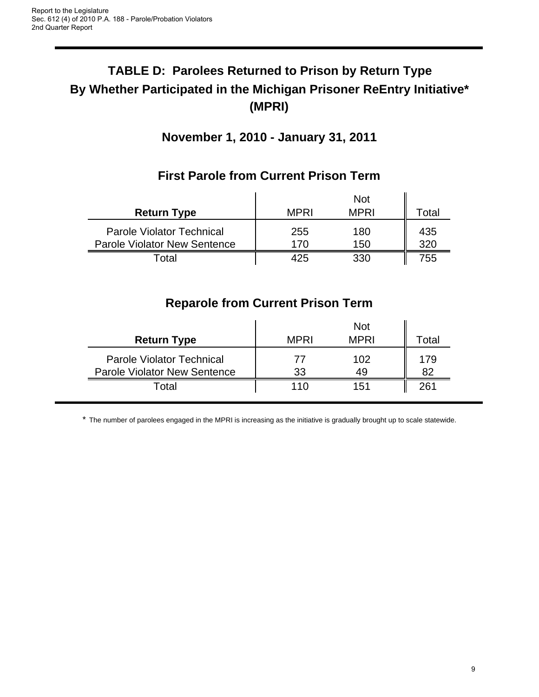# **TABLE D: Parolees Returned to Prison by Return Type By Whether Participated in the Michigan Prisoner ReEntry Initiative\* (MPRI)**

# **November 1, 2010 - January 31, 2011**

| <b>Return Type</b>                                                      | <b>MPRI</b> | <b>MPRI</b> | Total      |
|-------------------------------------------------------------------------|-------------|-------------|------------|
| <b>Parole Violator Technical</b><br><b>Parole Violator New Sentence</b> | 255<br>170  | 180<br>150  | 435<br>320 |
| <sup>-</sup> otal                                                       | 425         | 330         | 755        |

# **First Parole from Current Prison Term**

# **Reparole from Current Prison Term**

| <b>Return Type</b>                  | <b>MPRI</b>    | <b>Not</b><br><b>MPRI</b> | ™otal        |
|-------------------------------------|----------------|---------------------------|--------------|
| <b>Parole Violator Technical</b>    | $\prime\prime$ | 102                       | 179          |
| <b>Parole Violator New Sentence</b> | 33             | 49                        |              |
| Total                               | 110            | 151                       | $26^{\circ}$ |

\* The number of parolees engaged in the MPRI is increasing as the initiative is gradually brought up to scale statewide.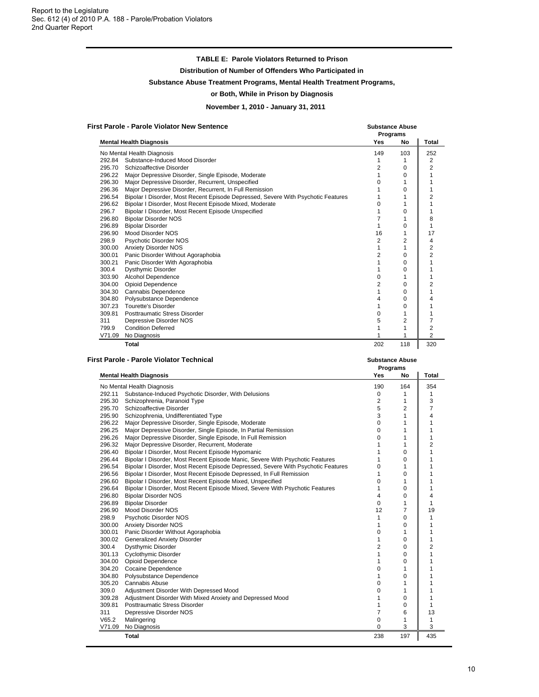#### **TABLE E: Parole Violators Returned to Prison**

**Distribution of Number of Offenders Who Participated in**

#### **Substance Abuse Treatment Programs, Mental Health Treatment Programs,**

#### **or Both, While in Prison by Diagnosis**

**November 1, 2010 - January 31, 2011**

| <b>First Parole - Parole Violator New Sentence</b> | <b>Substance Abuse</b> |
|----------------------------------------------------|------------------------|
|                                                    |                        |

|        |                                                                                   |            | Programs       |                |
|--------|-----------------------------------------------------------------------------------|------------|----------------|----------------|
|        | <b>Mental Health Diagnosis</b>                                                    | <b>Yes</b> | No             | Total          |
|        | No Mental Health Diagnosis                                                        | 149        | 103            | 252            |
| 292.84 | Substance-Induced Mood Disorder                                                   | 1          | 1              | 2              |
| 295.70 | Schizoaffective Disorder                                                          | 2          | 0              | 2              |
| 296.22 | Major Depressive Disorder, Single Episode, Moderate                               |            | 0              |                |
| 296.30 | Major Depressive Disorder, Recurrent, Unspecified                                 | n          |                |                |
| 296.36 | Major Depressive Disorder, Recurrent, In Full Remission                           |            | O              |                |
| 296.54 | Bipolar I Disorder, Most Recent Episode Depressed, Severe With Psychotic Features |            |                |                |
| 296.62 | Bipolar I Disorder, Most Recent Episode Mixed, Moderate                           | o          |                |                |
| 296.7  | Bipolar I Disorder, Most Recent Episode Unspecified                               |            | 0              |                |
| 296.80 | <b>Bipolar Disorder NOS</b>                                                       |            |                | 8              |
| 296.89 | <b>Bipolar Disorder</b>                                                           |            | ი              |                |
| 296.90 | Mood Disorder NOS                                                                 | 16         |                | 17             |
| 298.9  | Psychotic Disorder NOS                                                            | 2          | $\overline{c}$ | 4              |
| 300.00 | <b>Anxiety Disorder NOS</b>                                                       |            |                | $\overline{2}$ |
| 300.01 | Panic Disorder Without Agoraphobia                                                | 2          | ŋ              | $\overline{2}$ |
| 300.21 | Panic Disorder With Agoraphobia                                                   |            | ŋ              |                |
| 300.4  | Dysthymic Disorder                                                                |            | 0              |                |
| 303.90 | <b>Alcohol Dependence</b>                                                         | 0          |                |                |
| 304.00 | <b>Opioid Dependence</b>                                                          | 2          | ი              |                |
| 304.30 | Cannabis Dependence                                                               |            | ი              |                |
| 304.80 | Polysubstance Dependence                                                          |            | 0              |                |
| 307.23 | <b>Tourette's Disorder</b>                                                        |            | 0              |                |
| 309.81 | Posttraumatic Stress Disorder                                                     | 0          |                |                |
| 311    | Depressive Disorder NOS                                                           | 5          | 2              |                |
| 799.9  | <b>Condition Deferred</b>                                                         |            |                | $\overline{2}$ |
| V71.09 | No Diagnosis                                                                      |            |                | 2              |
|        | <b>Total</b>                                                                      | 202        | 118            | 320            |

| <b>First Parole - Parole Violator Technical</b> | <b>Substance Abuse</b> |
|-------------------------------------------------|------------------------|
|                                                 | <b>Drograme</b>        |

|        |                                                                                   | Programs       |             |                |
|--------|-----------------------------------------------------------------------------------|----------------|-------------|----------------|
|        | <b>Mental Health Diagnosis</b>                                                    | <b>Yes</b>     | No          | <b>Total</b>   |
|        | No Mental Health Diagnosis                                                        | 190            | 164         | 354            |
| 292.11 | Substance-Induced Psychotic Disorder, With Delusions                              | 0              | 1           | 1              |
| 295.30 | Schizophrenia, Paranoid Type                                                      | 2              | 1           | 3              |
| 295.70 | Schizoaffective Disorder                                                          | 5              | 2           | $\overline{7}$ |
| 295.90 | Schizophrenia, Undifferentiated Type                                              | 3              | 1           | 4              |
| 296.22 | Major Depressive Disorder, Single Episode, Moderate                               | 0              | 1           | 1              |
| 296.25 | Major Depressive Disorder, Single Episode, In Partial Remission                   | 0              | 1           | 1              |
| 296.26 | Major Depressive Disorder, Single Episode, In Full Remission                      | 0              | 1           | 1              |
| 296.32 | Major Depressive Disorder, Recurrent, Moderate                                    | 1              | 1           | 2              |
| 296.40 | Bipolar I Disorder, Most Recent Episode Hypomanic                                 | 1              | 0           | 1              |
| 296.44 | Bipolar I Disorder, Most Recent Episode Manic, Severe With Psychotic Features     | 1              | 0           | 1              |
| 296.54 | Bipolar I Disorder, Most Recent Episode Depressed, Severe With Psychotic Features | 0              | 1           | 1              |
| 296.56 | Bipolar I Disorder, Most Recent Episode Depressed, In Full Remission              | 1              | 0           | 1              |
| 296.60 | Bipolar I Disorder, Most Recent Episode Mixed, Unspecified                        | 0              | 1           | 1              |
| 296.64 | Bipolar I Disorder, Most Recent Episode Mixed, Severe With Psychotic Features     | 1              | 0           | 1              |
| 296.80 | <b>Bipolar Disorder NOS</b>                                                       | 4              | 0           | 4              |
| 296.89 | <b>Bipolar Disorder</b>                                                           | 0              | 1           | 1              |
| 296.90 | Mood Disorder NOS                                                                 | 12             | 7           | 19             |
| 298.9  | Psychotic Disorder NOS                                                            | 1              | 0           | 1              |
| 300.00 | <b>Anxiety Disorder NOS</b>                                                       | 1              | 0           | 1              |
| 300.01 | Panic Disorder Without Agoraphobia                                                | 0              | 1           | 1              |
| 300.02 | <b>Generalized Anxiety Disorder</b>                                               | 1              | 0           | $\mathbf{1}$   |
| 300.4  | Dysthymic Disorder                                                                | $\overline{2}$ | $\mathbf 0$ | $\overline{2}$ |
| 301.13 | <b>Cyclothymic Disorder</b>                                                       | 1              | $\Omega$    | 1              |
| 304.00 | <b>Opioid Dependence</b>                                                          | 1              | 0           | 1              |
| 304.20 | Cocaine Dependence                                                                | 0              | 1           |                |
| 304.80 | Polysubstance Dependence                                                          | 1              | 0           | 1              |
| 305.20 | <b>Cannabis Abuse</b>                                                             | 0              | 1           | 1              |
| 309.0  | Adjustment Disorder With Depressed Mood                                           | 0              | 1           | 1              |
| 309.28 | Adjustment Disorder With Mixed Anxiety and Depressed Mood                         | 1              | $\Omega$    | 1              |
| 309.81 | <b>Posttraumatic Stress Disorder</b>                                              | 1              | $\Omega$    | 1              |
| 311    | Depressive Disorder NOS                                                           | $\overline{7}$ | 6           | 13             |
| V65.2  | Malingering                                                                       | 0              | 1           | 1              |
| V71.09 | No Diagnosis                                                                      | $\Omega$       | 3           | 3              |
|        | Total                                                                             | 238            | 197         | 435            |
|        |                                                                                   |                |             |                |